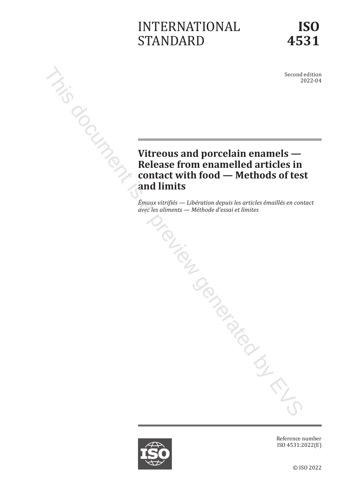# INTERNATIONAL STANDARD



Second edition 2022-04

# **Vitreous and porcelain enamels — <br>
Witreous and porcelain enamels — Release from enamelled articles in<br>
The struct with food — Methods of test<br>
Contract with food — Methods of test<br>
Contract with food — Methods of test<br>
C Release from enamelled articles in contact with food — Methods of test and limits** Second.<br>  $\frac{1}{2}$ <br>  $\frac{1}{2}$ <br>  $\frac{1}{2}$ <br>  $\frac{1}{2}$ <br>  $\frac{1}{2}$ <br>  $\frac{1}{2}$ <br>  $\frac{1}{2}$ <br>  $\frac{1}{2}$ <br>  $\frac{1}{2}$ <br>  $\frac{1}{2}$ <br>  $\frac{1}{2}$ <br>  $\frac{1}{2}$ <br>  $\frac{1}{2}$ <br>  $\frac{1}{2}$ <br>  $\frac{1}{2}$ <br>  $\frac{1}{2}$ <br>  $\frac{1}{2}$ <br>  $\frac{1}{2}$ <br>  $\frac{1}{2}$ <br>  $\frac$

*Émaux vitrifiés — Libération depuis les articles émaillés en contact avec les aliments — Méthode d'essai et limites*



Reference number ISO 4531:2022(E)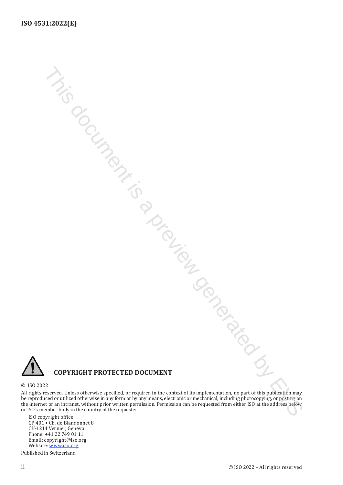

#### **COPYRIGHT PROTECTED DOCUMENT**

© ISO 2022

All rights reserved. Unless otherwise specified, or required in the context of its implementation, no part of this publication may be reproduced or utilized otherwise in any form or by any means, electronic or mechanical, including photocopying, or posting on the internet or an intranet, without prior written permission. Permission can be requested from either ISO at the address below or ISO's member body in the country of the requester. ISO copyright office This document is a preview generated by EVS

CP 401 • Ch. de Blandonnet 8 CH-1214 Vernier, Geneva Phone: +41 22 749 01 11 Email: copyright@iso.org Website: [www.iso.org](https://www.iso.org)

Published in Switzerland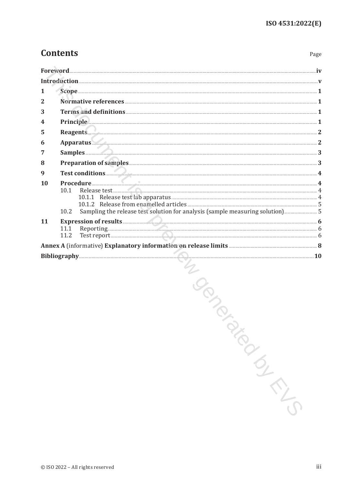Page

# **Contents**

| 1         | $Scope \longrightarrow 1$                                                                                  |  |
|-----------|------------------------------------------------------------------------------------------------------------|--|
| 2         |                                                                                                            |  |
| 3         |                                                                                                            |  |
| 4         |                                                                                                            |  |
| 5         | Reagents 2                                                                                                 |  |
| 6         | Apparatus 2                                                                                                |  |
| 7         | Samples 3                                                                                                  |  |
| 8         | Preparation of samples <b>Executes</b> 3                                                                   |  |
| 9         |                                                                                                            |  |
| <b>10</b> | 10.1<br>Sampling the release test solution for analysis (sample measuring solution)5<br>10.2               |  |
| 11        | Expression of results <b>Expression</b> of results <b>All and Section</b> 6<br>Reporting 6<br>11.1<br>11.2 |  |
|           |                                                                                                            |  |
|           |                                                                                                            |  |
|           | <b>SPIRE</b>                                                                                               |  |
|           |                                                                                                            |  |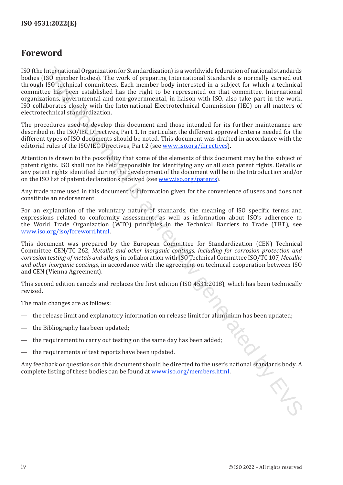# <span id="page-3-0"></span>**Foreword**

ISO (the International Organization for Standardization) is a worldwide federation of national standards bodies (ISO member bodies). The work of preparing International Standards is normally carried out through ISO technical committees. Each member body interested in a subject for which a technical committee has been established has the right to be represented on that committee. International organizations, governmental and non-governmental, in liaison with ISO, also take part in the work. ISO collaborates closely with the International Electrotechnical Commission (IEC) on all matters of electrotechnical standardization. International Organization for Standardization is a workholde federation of national standards is the secondary of SD rechuid committees. Each member bodis (Fig. 10) the standards is increasing that the standard is the st

The procedures used to develop this document and those intended for its further maintenance are described in the ISO/IEC Directives, Part 1. In particular, the different approval criteria needed for the different types of ISO documents should be noted. This document was drafted in accordance with the editorial rules of the ISO/IEC Directives, Part 2 (see www.iso.org/directives).

Attention is drawn to the possibility that some of the elements of this document may be the subject of patent rights. ISO shall not be held responsible for identifying any or all such patent rights. Details of any patent rights identified during the development of the document will be in the Introduction and/or on the ISO list of patent declarations received (see www.iso.org/patents).

Any trade name used in this document is information given for the convenience of users and does not constitute an endorsement.

For an explanation of the voluntary nature of standards, the meaning of ISO specific terms and expressions related to conformity assessment, as well as information about ISO's adherence to the World Trade Organization (WTO) principles in the Technical Barriers to Trade (TBT), see www.iso.org/iso/foreword.html.

This document was prepared by the European Committee for Standardization (CEN) Technical Committee CEN/TC 262, *Metallic and other inorganic coatings, including for corrosion protection and corrosion testing of metals and alloys*, in collaboration with ISO Technical Committee ISO/TC 107, *Metallic and other inorganic coatings*, in accordance with the agreement on technical cooperation between ISO and CEN (Vienna Agreement).

This second edition cancels and replaces the first edition (ISO 4531:2018), which has been technically revised.

The main changes are as follows:

- the release limit and explanatory information on release limit for aluminium has been updated;
- the Bibliography has been updated;
- the requirement to carry out testing on the same day has been added;
- the requirements of test reports have been updated.

Any feedback or questions on this document should be directed to the user's national standards body. A complete listing of these bodies can be found at www.iso.org/members.html.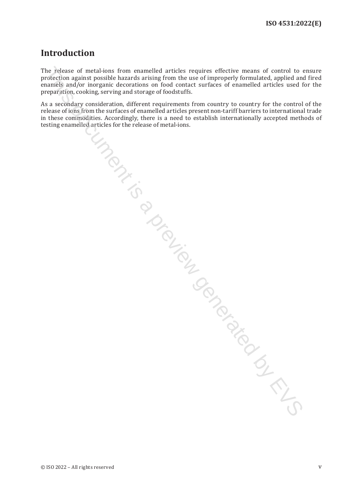## <span id="page-4-0"></span>**Introduction**

The release of metal-ions from enamelled articles requires effective means of control to ensure protection against possible hazards arising from the use of improperly formulated, applied and fired enamels and/or inorganic decorations on food contact surfaces of enamelled articles used for the preparation, cooking, serving and storage of foodstuffs.

As a secondary consideration, different requirements from country to country for the control of the release of ions from the surfaces of enamelled articles present non-tariff barriers to international trade release of ions from the surfaces of enamelled articles present non-tariff barriers to international trade in these commodities. Accordingly, there is a need to establish internationally accepted methods of testing enamelled articles for the release of metal-ions. The please of meta-lions from enamelled articles requires effective means of control to preview generated by the preview generated by more property formulated, applied anticles represention or both one for control with th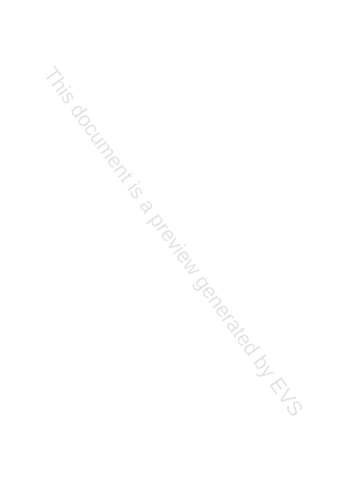This document is a preview generation by EVS